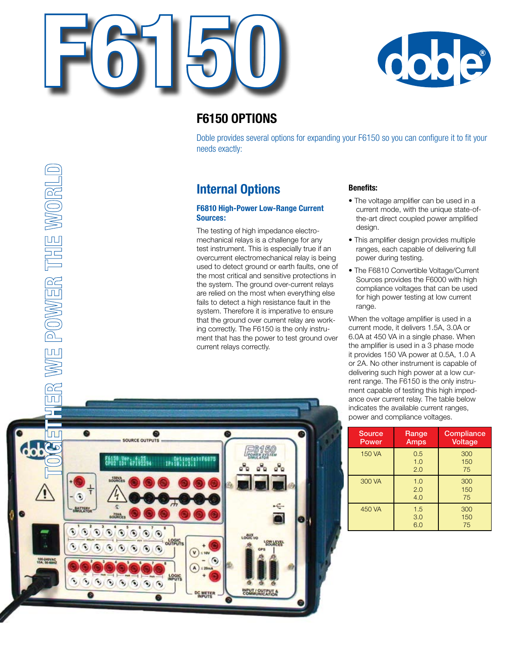



## **F6150 Options**

Doble provides several options for expanding your F6150 so you can configure it to fit your needs exactly:

## **Internal Options**

### **F6810 High-Power Low-Range Current Sources:**

The testing of high impedance electromechanical relays is a challenge for any test instrument. This is especially true if an overcurrent electromechanical relay is being used to detect ground or earth faults, one of the most critical and sensitive protections in the system. The ground over-current relays are relied on the most when everything else fails to detect a high resistance fault in the system. Therefore it is imperative to ensure that the ground over current relay are working correctly. The F6150 is the only instrument that has the power to test ground over current relays correctly.

## **Benefits:**

- The voltage amplifier can be used in a current mode, with the unique state-ofthe-art direct coupled power amplified design.
- This amplifier design provides multiple ranges, each capable of delivering full power during testing.
- The F6810 Convertible Voltage/Current Sources provides the F6000 with high compliance voltages that can be used for high power testing at low current range.

When the voltage amplifier is used in a current mode, it delivers 1.5A, 3.0A or 6.0A at 450 VA in a single phase. When the amplifier is used in a 3 phase mode it provides 150 VA power at 0.5A, 1.0 A or 2A. No other instrument is capable of delivering such high power at a low current range. The F6150 is the only instrument capable of testing this high impedance over current relay. The table below indicates the available current ranges, power and compliance voltages.

| <b>Source</b><br>Power | Range<br>Amps     | Compliance<br><b>Voltage</b> |
|------------------------|-------------------|------------------------------|
| 150 VA                 | 0.5<br>1.0<br>2.0 | 300<br>150<br>75             |
| 300 VA                 | 1.0<br>2.0<br>4.0 | 300<br>150<br>75             |
| 450 VA                 | 1.5<br>3.0<br>6.0 | 300<br>150<br>75             |

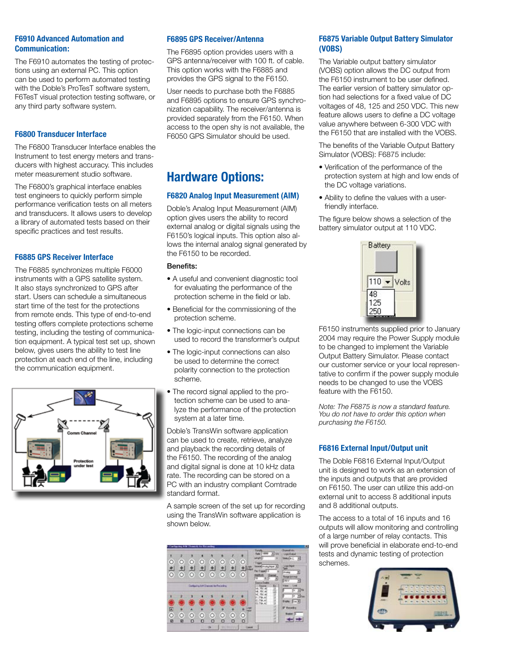## **F6910 Advanced Automation and Communication:**

The F6910 automates the testing of protections using an external PC. This option can be used to perform automated testing with the Doble's ProTesT software system, F6TesT visual protection testing software, or any third party software system.

#### **F6800 Transducer Interface**

The F6800 Transducer Interface enables the Instrument to test energy meters and transducers with highest accuracy. This includes meter measurement studio software.

The F6800's graphical interface enables test engineers to quickly perform simple performance verification tests on all meters and transducers. It allows users to develop a library of automated tests based on their specific practices and test results.

#### **F6885 GPS Receiver Interface**

The F6885 synchronizes multiple F6000 instruments with a GPS satellite system. It also stays synchronized to GPS after start. Users can schedule a simultaneous start time of the test for the protections from remote ends. This type of end-to-end testing offers complete protections scheme testing, including the testing of communication equipment. A typical test set up, shown below, gives users the ability to test line protection at each end of the line, including the communication equipment.



#### **F6895 GPS Receiver/Antenna**

The F6895 option provides users with a GPS antenna/receiver with 100 ft. of cable. This option works with the F6885 and provides the GPS signal to the F6150.

User needs to purchase both the F6885 and F6895 options to ensure GPS synchronization capability. The receiver/antenna is provided separately from the F6150. When access to the open shy is not available, the F6050 GPS Simulator should be used.

## **Hardware Options:**

#### **F6820 Analog Input Measurement (AIM)**

Doble's Analog Input Measurement (AIM) option gives users the ability to record external analog or digital signals using the F6150's logical inputs. This option also allows the internal analog signal generated by the F6150 to be recorded.

#### Benefits:

- A useful and convenient diagnostic tool for evaluating the performance of the protection scheme in the field or lab.
- Beneficial for the commissioning of the protection scheme.
- The logic-input connections can be used to record the transformer's output
- The logic-input connections can also be used to determine the correct polarity connection to the protection scheme.
- The record signal applied to the protection scheme can be used to analyze the performance of the protection system at a later time.

Doble's TransWin software application can be used to create, retrieve, analyze and playback the recording details of the F6150. The recording of the analog and digital signal is done at 10 kHz data rate. The recording can be stored on a PC with an industry compliant Comtrade standard format.

A sample screen of the set up for recording using the TransWin software application is shown below.



#### **F6875 Variable Output Battery Simulator (VOBS)**

The Variable output battery simulator (VOBS) option allows the DC output from the F6150 instrument to be user defined. The earlier version of battery simulator option had selections for a fixed value of DC voltages of 48, 125 and 250 VDC. This new feature allows users to define a DC voltage value anywhere between 6-300 VDC with the F6150 that are installed with the VOBS.

The benefits of the Variable Output Battery Simulator (VOBS): F6875 include:

- Verification of the performance of the protection system at high and low ends of the DC voltage variations.
- •  Ability to define the values with a userfriendly interface.

The figure below shows a selection of the battery simulator output at 110 VDC.



F6150 instruments supplied prior to January 2004 may require the Power Supply module to be changed to implement the Variable Output Battery Simulator. Please contact our customer service or your local representative to confirm if the power supply module needs to be changed to use the VOBS feature with the F6150.

*Note: The F6875 is now a standard feature. You do not have to order this option when purchasing the F6150.* 

### **F6816 External Input/Output unit**

The Doble F6816 External Input/Output unit is designed to work as an extension of the inputs and outputs that are provided on F6150. The user can utilize this add-on external unit to access 8 additional inputs and 8 additional outputs.

The access to a total of 16 inputs and 16 outputs will allow monitoring and controlling of a large number of relay contacts. This will prove beneficial in elaborate end-to-end tests and dynamic testing of protection schemes.

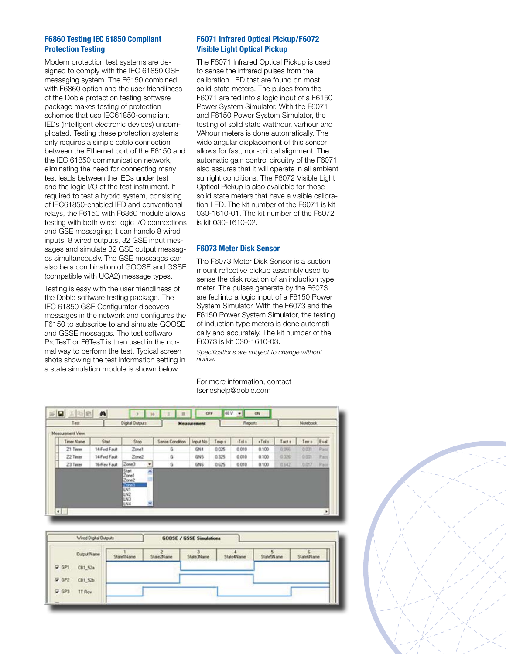### **F6860 Testing IEC 61850 Compliant Protection Testing**

Modern protection test systems are designed to comply with the IEC 61850 GSE messaging system. The F6150 combined with F6860 option and the user friendliness of the Doble protection testing software package makes testing of protection schemes that use IEC61850-compliant IEDs (intelligent electronic devices) uncomplicated. Testing these protection systems only requires a simple cable connection between the Ethernet port of the F6150 and the IEC 61850 communication network, eliminating the need for connecting many test leads between the IEDs under test and the logic I/O of the test instrument. If required to test a hybrid system, consisting of IEC61850-enabled IED and conventional relays, the F6150 with F6860 module allows testing with both wired logic I/O connections and GSE messaging; it can handle 8 wired inputs, 8 wired outputs, 32 GSE input messages and simulate 32 GSE output messages simultaneously. The GSE messages can also be a combination of GOOSE and GSSE (compatible with UCA2) message types.

Testing is easy with the user friendliness of the Doble software testing package. The IEC 61850 GSE Configurator discovers messages in the network and configures the F6150 to subscribe to and simulate GOOSE and GSSE messages. The test software ProTesT or F6TesT is then used in the normal way to perform the test. Typical screen shots showing the test information setting in a state simulation module is shown below.

## **F6071 Infrared Optical Pickup/F6072 Visible Light Optical Pickup**

The F6071 Infrared Optical Pickup is used to sense the infrared pulses from the calibration LED that are found on most solid-state meters. The pulses from the F6071 are fed into a logic input of a F6150 Power System Simulator. With the F6071 and F6150 Power System Simulator, the testing of solid state watthour, varhour and VAhour meters is done automatically. The wide angular displacement of this sensor allows for fast, non-critical alignment. The automatic gain control circuitry of the F6071 also assures that it will operate in all ambient sunlight conditions. The F6072 Visible Light Optical Pickup is also available for those solid state meters that have a visible calibration LED. The kit number of the F6071 is kit 030-1610-01. The kit number of the F6072 is kit 030-1610-02.

#### **F6073 Meter Disk Sensor**

The F6073 Meter Disk Sensor is a suction mount reflective pickup assembly used to sense the disk rotation of an induction type meter. The pulses generate by the F6073 are fed into a logic input of a F6150 Power System Simulator. With the F6073 and the F6150 Power System Simulator, the testing of induction type meters is done automatically and accurately. The kit number of the F6073 is kit 030-1610-03.

*Specifications are subject to change without notice.*

For more information, contact fserieshelp@doble.com